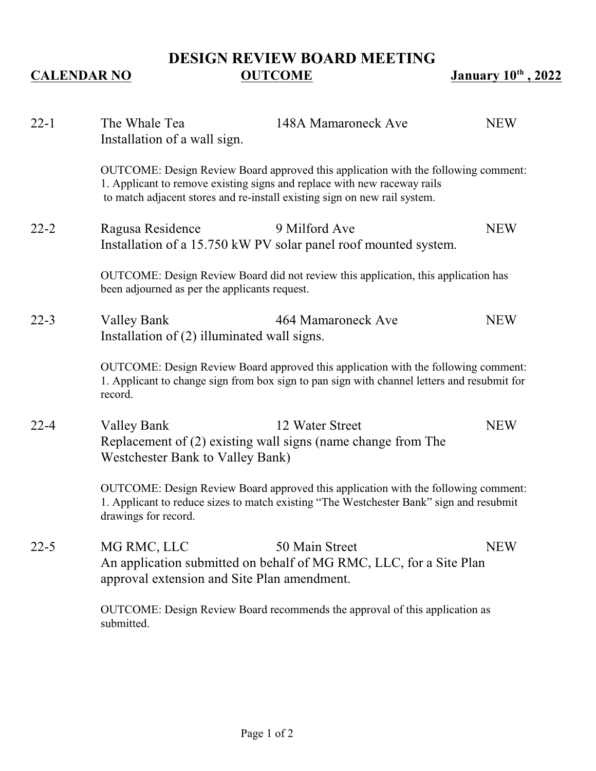## **DESIGN REVIEW BOARD MEETING CALENDAR NO OUTCOME January 10<sup>th</sup>, 2022**

| $22 - 1$ | The Whale Tea<br>Installation of a wall sign.                                                                                                                                                                                               | 148A Mamaroneck Ave                                                                  | <b>NEW</b> |
|----------|---------------------------------------------------------------------------------------------------------------------------------------------------------------------------------------------------------------------------------------------|--------------------------------------------------------------------------------------|------------|
|          | OUTCOME: Design Review Board approved this application with the following comment:<br>1. Applicant to remove existing signs and replace with new raceway rails<br>to match adjacent stores and re-install existing sign on new rail system. |                                                                                      |            |
| $22 - 2$ | Ragusa Residence                                                                                                                                                                                                                            | 9 Milford Ave<br>Installation of a 15.750 kW PV solar panel roof mounted system.     | <b>NEW</b> |
|          | OUTCOME: Design Review Board did not review this application, this application has<br>been adjourned as per the applicants request.                                                                                                         |                                                                                      |            |
| $22 - 3$ | <b>Valley Bank</b><br>Installation of $(2)$ illuminated wall signs.                                                                                                                                                                         | 464 Mamaroneck Ave                                                                   | <b>NEW</b> |
|          | OUTCOME: Design Review Board approved this application with the following comment:<br>1. Applicant to change sign from box sign to pan sign with channel letters and resubmit for<br>record.                                                |                                                                                      |            |
| $22 - 4$ | <b>Valley Bank</b><br><b>Westchester Bank to Valley Bank)</b>                                                                                                                                                                               | 12 Water Street<br>Replacement of (2) existing wall signs (name change from The      | <b>NEW</b> |
|          | OUTCOME: Design Review Board approved this application with the following comment:<br>1. Applicant to reduce sizes to match existing "The Westchester Bank" sign and resubmit<br>drawings for record.                                       |                                                                                      |            |
| $22 - 5$ | MG RMC, LLC<br>approval extension and Site Plan amendment.                                                                                                                                                                                  | 50 Main Street<br>An application submitted on behalf of MG RMC, LLC, for a Site Plan | <b>NEW</b> |
|          | submitted.                                                                                                                                                                                                                                  | OUTCOME: Design Review Board recommends the approval of this application as          |            |